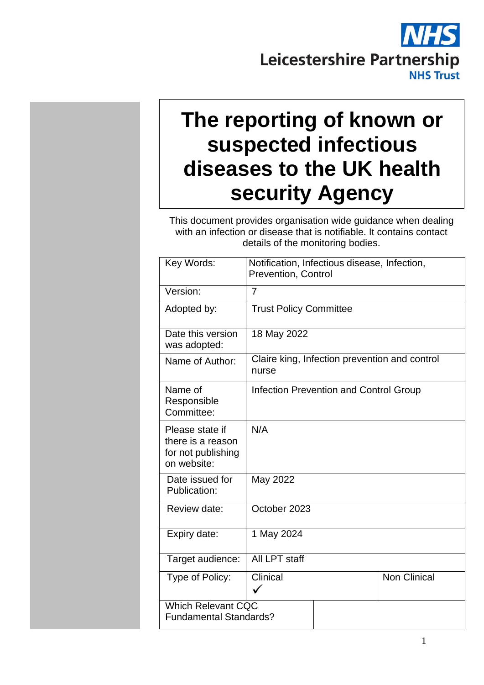# Leicestershire Partnership **NHS Trust**

## **The reporting of known or suspected infectious diseases to the UK health security Agency**

This document provides organisation wide guidance when dealing with an infection or disease that is notifiable. It contains contact details of the monitoring bodies.

| Key Words:                                                                | Notification, Infectious disease, Infection,<br><b>Prevention, Control</b> |                                               |                                               |  |
|---------------------------------------------------------------------------|----------------------------------------------------------------------------|-----------------------------------------------|-----------------------------------------------|--|
| Version:                                                                  | $\overline{7}$                                                             |                                               |                                               |  |
| Adopted by:                                                               | <b>Trust Policy Committee</b>                                              |                                               |                                               |  |
| Date this version<br>was adopted:                                         | 18 May 2022                                                                |                                               |                                               |  |
| Name of Author:                                                           | nurse                                                                      |                                               | Claire king, Infection prevention and control |  |
| Name of<br>Responsible<br>Committee:                                      |                                                                            | <b>Infection Prevention and Control Group</b> |                                               |  |
| Please state if<br>there is a reason<br>for not publishing<br>on website: | N/A                                                                        |                                               |                                               |  |
| Date issued for<br>Publication:                                           | May 2022                                                                   |                                               |                                               |  |
| Review date:                                                              | October 2023                                                               |                                               |                                               |  |
| Expiry date:                                                              | 1 May 2024                                                                 |                                               |                                               |  |
| Target audience:                                                          | All LPT staff                                                              |                                               |                                               |  |
| Type of Policy:                                                           | Clinical                                                                   |                                               | <b>Non Clinical</b>                           |  |
| <b>Which Relevant CQC</b><br><b>Fundamental Standards?</b>                |                                                                            |                                               |                                               |  |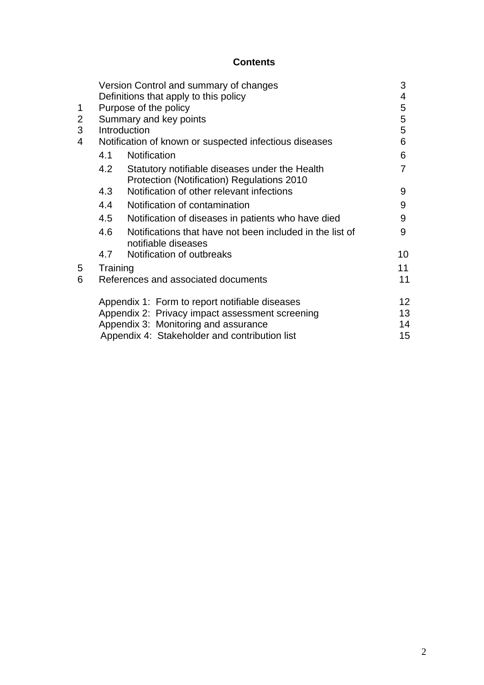#### **Contents**

|                |          | Version Control and summary of changes                                          | 3  |
|----------------|----------|---------------------------------------------------------------------------------|----|
|                |          | Definitions that apply to this policy                                           | 4  |
| 1              |          | Purpose of the policy                                                           | 5  |
| $\overline{2}$ |          | Summary and key points                                                          | 5  |
| 3              |          | Introduction                                                                    | 5  |
| 4              |          | Notification of known or suspected infectious diseases                          | 6  |
|                | 4.1      | Notification                                                                    | 6  |
|                | 4.2      | Statutory notifiable diseases under the Health                                  | 7  |
|                |          | Protection (Notification) Regulations 2010                                      |    |
|                | 4.3      | Notification of other relevant infections                                       | 9  |
|                | 4.4      | Notification of contamination                                                   | 9  |
|                | 4.5      | Notification of diseases in patients who have died                              | 9  |
|                | 4.6      | Notifications that have not been included in the list of<br>notifiable diseases | 9  |
|                | 4.7      | Notification of outbreaks                                                       | 10 |
| 5              | Training |                                                                                 | 11 |
| 6              |          | References and associated documents                                             | 11 |
|                |          | Appendix 1: Form to report notifiable diseases                                  | 12 |
|                |          | Appendix 2: Privacy impact assessment screening                                 | 13 |
|                |          | Appendix 3: Monitoring and assurance                                            | 14 |
|                |          | Appendix 4: Stakeholder and contribution list                                   | 15 |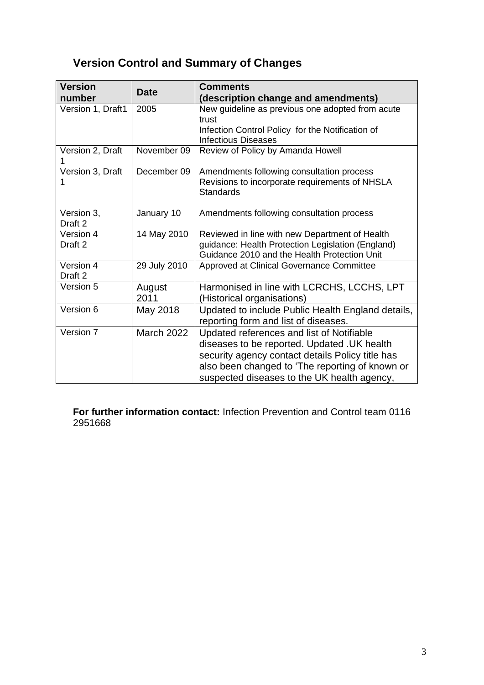## **Version Control and Summary of Changes**

| <b>Version</b><br>number | <b>Date</b>       | <b>Comments</b><br>(description change and amendments)                                                                                                                                                                                          |
|--------------------------|-------------------|-------------------------------------------------------------------------------------------------------------------------------------------------------------------------------------------------------------------------------------------------|
| Version 1, Draft1        | 2005              | New guideline as previous one adopted from acute<br>trust<br>Infection Control Policy for the Notification of<br><b>Infectious Diseases</b>                                                                                                     |
| Version 2, Draft         | November 09       | Review of Policy by Amanda Howell                                                                                                                                                                                                               |
| Version 3, Draft         | December 09       | Amendments following consultation process<br>Revisions to incorporate requirements of NHSLA<br><b>Standards</b>                                                                                                                                 |
| Version 3,<br>Draft 2    | January 10        | Amendments following consultation process                                                                                                                                                                                                       |
| Version 4<br>Draft 2     | 14 May 2010       | Reviewed in line with new Department of Health<br>guidance: Health Protection Legislation (England)<br>Guidance 2010 and the Health Protection Unit                                                                                             |
| Version 4<br>Draft 2     | 29 July 2010      | Approved at Clinical Governance Committee                                                                                                                                                                                                       |
| Version 5                | August<br>2011    | Harmonised in line with LCRCHS, LCCHS, LPT<br>(Historical organisations)                                                                                                                                                                        |
| Version 6                | May 2018          | Updated to include Public Health England details,<br>reporting form and list of diseases.                                                                                                                                                       |
| Version 7                | <b>March 2022</b> | Updated references and list of Notifiable<br>diseases to be reported. Updated . UK health<br>security agency contact details Policy title has<br>also been changed to 'The reporting of known or<br>suspected diseases to the UK health agency, |

**For further information contact:** Infection Prevention and Control team 0116 2951668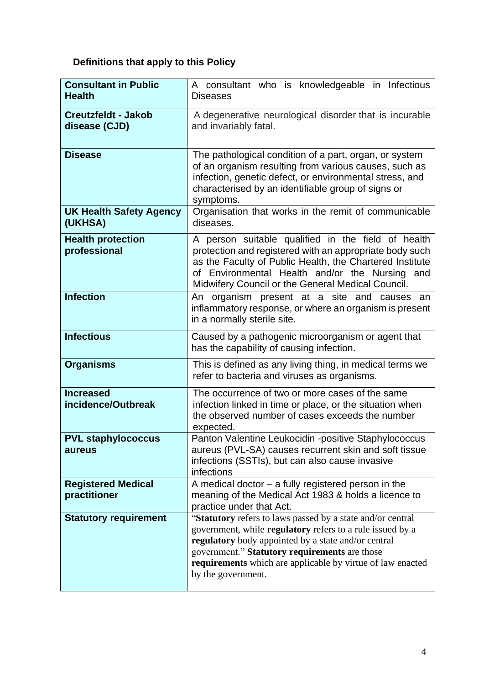## **Definitions that apply to this Policy**

| <b>Consultant in Public</b><br><b>Health</b> | A consultant who is knowledgeable in Infectious<br><b>Diseases</b>                                                                                                                                                                                                                                                         |
|----------------------------------------------|----------------------------------------------------------------------------------------------------------------------------------------------------------------------------------------------------------------------------------------------------------------------------------------------------------------------------|
| <b>Creutzfeldt - Jakob</b><br>disease (CJD)  | A degenerative neurological disorder that is incurable<br>and invariably fatal.                                                                                                                                                                                                                                            |
| <b>Disease</b>                               | The pathological condition of a part, organ, or system<br>of an organism resulting from various causes, such as<br>infection, genetic defect, or environmental stress, and<br>characterised by an identifiable group of signs or<br>symptoms.                                                                              |
| <b>UK Health Safety Agency</b><br>(UKHSA)    | Organisation that works in the remit of communicable<br>diseases.                                                                                                                                                                                                                                                          |
| <b>Health protection</b><br>professional     | A person suitable qualified in the field of health<br>protection and registered with an appropriate body such<br>as the Faculty of Public Health, the Chartered Institute<br>of Environmental Health and/or the Nursing and<br>Midwifery Council or the General Medical Council.                                           |
| <b>Infection</b>                             | An organism present at a site and causes an<br>inflammatory response, or where an organism is present<br>in a normally sterile site.                                                                                                                                                                                       |
| <b>Infectious</b>                            | Caused by a pathogenic microorganism or agent that<br>has the capability of causing infection.                                                                                                                                                                                                                             |
| <b>Organisms</b>                             | This is defined as any living thing, in medical terms we<br>refer to bacteria and viruses as organisms.                                                                                                                                                                                                                    |
| <b>Increased</b><br>incidence/Outbreak       | The occurrence of two or more cases of the same<br>infection linked in time or place, or the situation when<br>the observed number of cases exceeds the number<br>expected.                                                                                                                                                |
| <b>PVL staphylococcus</b><br>aureus          | Panton Valentine Leukocidin -positive Staphylococcus<br>aureus (PVL-SA) causes recurrent skin and soft tissue<br>infections (SSTIs), but can also cause invasive<br>infections                                                                                                                                             |
| <b>Registered Medical</b><br>practitioner    | A medical doctor $-$ a fully registered person in the<br>meaning of the Medical Act 1983 & holds a licence to<br>practice under that Act.                                                                                                                                                                                  |
| <b>Statutory requirement</b>                 | "Statutory refers to laws passed by a state and/or central<br>government, while regulatory refers to a rule issued by a<br>regulatory body appointed by a state and/or central<br>government." Statutory requirements are those<br><b>requirements</b> which are applicable by virtue of law enacted<br>by the government. |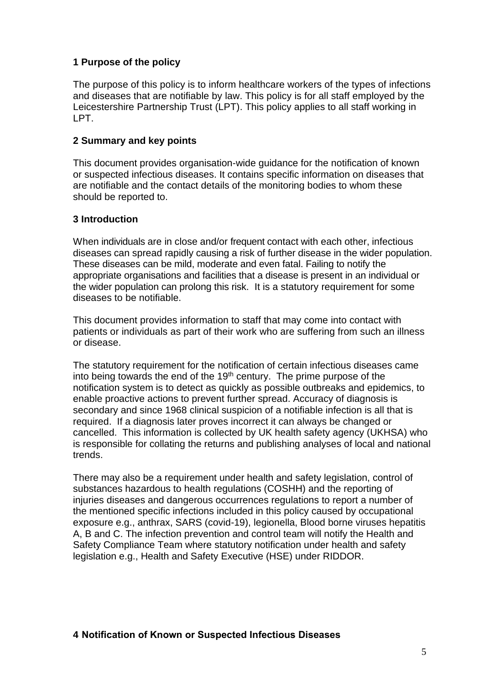#### **1 Purpose of the policy**

The purpose of this policy is to inform healthcare workers of the types of infections and diseases that are notifiable by law. This policy is for all staff employed by the Leicestershire Partnership Trust (LPT). This policy applies to all staff working in LPT.

#### **2 Summary and key points**

This document provides organisation-wide guidance for the notification of known or suspected infectious diseases. It contains specific information on diseases that are notifiable and the contact details of the monitoring bodies to whom these should be reported to.

#### **3 Introduction**

When individuals are in close and/or frequent contact with each other, infectious diseases can spread rapidly causing a risk of further disease in the wider population. These diseases can be mild, moderate and even fatal. Failing to notify the appropriate organisations and facilities that a disease is present in an individual or the wider population can prolong this risk. It is a statutory requirement for some diseases to be notifiable.

This document provides information to staff that may come into contact with patients or individuals as part of their work who are suffering from such an illness or disease.

The statutory requirement for the notification of certain infectious diseases came into being towards the end of the  $19<sup>th</sup>$  century. The prime purpose of the notification system is to detect as quickly as possible outbreaks and epidemics, to enable proactive actions to prevent further spread. Accuracy of diagnosis is secondary and since 1968 clinical suspicion of a notifiable infection is all that is required. If a diagnosis later proves incorrect it can always be changed or cancelled. This information is collected by UK health safety agency (UKHSA) who is responsible for collating the returns and publishing analyses of local and national trends.

There may also be a requirement under health and safety legislation, control of substances hazardous to health regulations (COSHH) and the reporting of injuries diseases and dangerous occurrences regulations to report a number of the mentioned specific infections included in this policy caused by occupational exposure e.g., anthrax, SARS (covid-19), legionella, Blood borne viruses hepatitis A, B and C. The infection prevention and control team will notify the Health and Safety Compliance Team where statutory notification under health and safety legislation e.g., Health and Safety Executive (HSE) under RIDDOR.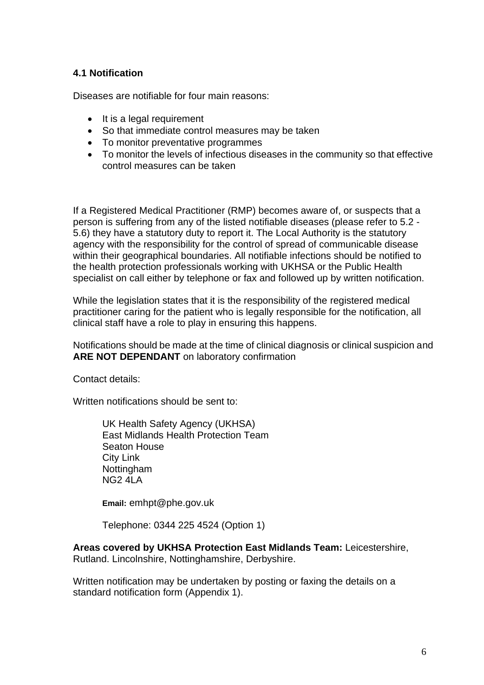#### **4.1 Notification**

Diseases are notifiable for four main reasons:

- It is a legal requirement
- So that immediate control measures may be taken
- To monitor preventative programmes
- To monitor the levels of infectious diseases in the community so that effective control measures can be taken

If a Registered Medical Practitioner (RMP) becomes aware of, or suspects that a person is suffering from any of the listed notifiable diseases (please refer to 5.2 - 5.6) they have a statutory duty to report it. The Local Authority is the statutory agency with the responsibility for the control of spread of communicable disease within their geographical boundaries. All notifiable infections should be notified to the health protection professionals working with UKHSA or the Public Health specialist on call either by telephone or fax and followed up by written notification.

While the legislation states that it is the responsibility of the registered medical practitioner caring for the patient who is legally responsible for the notification, all clinical staff have a role to play in ensuring this happens.

Notifications should be made at the time of clinical diagnosis or clinical suspicion and **ARE NOT DEPENDANT** on laboratory confirmation

Contact details:

Written notifications should be sent to:

UK Health Safety Agency (UKHSA) East Midlands Health Protection Team Seaton House City Link **Nottingham** NG2 4LA

**Email:** emhpt@phe.gov.uk

Telephone: 0344 225 4524 (Option 1)

**Areas covered by UKHSA Protection East Midlands Team:** Leicestershire, Rutland. Lincolnshire, Nottinghamshire, Derbyshire.

Written notification may be undertaken by posting or faxing the details on a standard notification form (Appendix 1).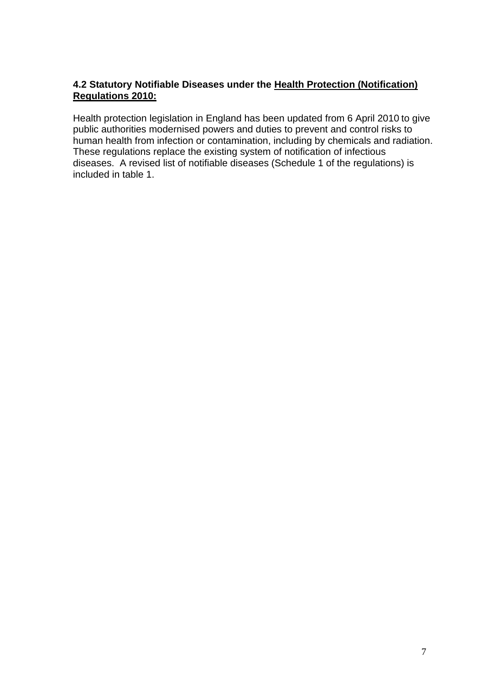#### **4.2 Statutory Notifiable Diseases under the Health Protection (Notification) Regulations 2010:**

Health protection legislation in England has been updated from 6 April 2010 to give public authorities modernised powers and duties to prevent and control risks to human health from infection or contamination, including by chemicals and radiation. These regulations replace the existing system of notification of infectious diseases. A revised list of notifiable diseases (Schedule 1 of the regulations) is included in table 1.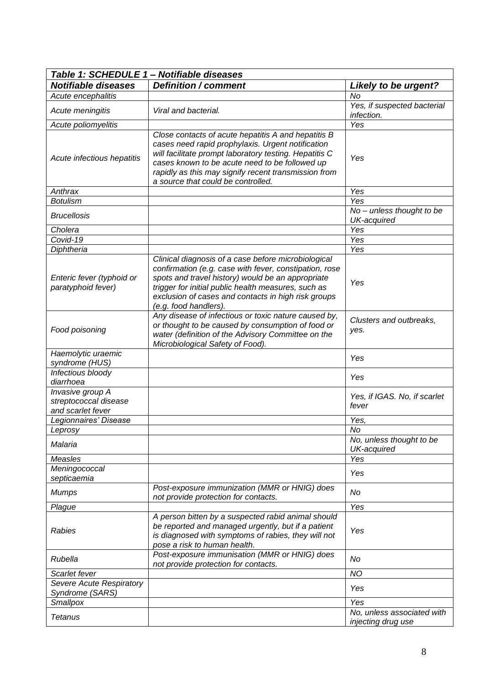| Table 1: SCHEDULE 1 - Notifiable diseases                      |                                                                                                                                                                                                                                                                                                                    |                                                  |  |  |
|----------------------------------------------------------------|--------------------------------------------------------------------------------------------------------------------------------------------------------------------------------------------------------------------------------------------------------------------------------------------------------------------|--------------------------------------------------|--|--|
| <b>Notifiable diseases</b>                                     | <b>Definition / comment</b>                                                                                                                                                                                                                                                                                        | <b>Likely to be urgent?</b>                      |  |  |
| Acute encephalitis                                             |                                                                                                                                                                                                                                                                                                                    | No                                               |  |  |
| Acute meningitis                                               | Viral and bacterial.                                                                                                                                                                                                                                                                                               | Yes, if suspected bacterial<br>infection.        |  |  |
| Acute poliomyelitis                                            |                                                                                                                                                                                                                                                                                                                    | Yes                                              |  |  |
| Acute infectious hepatitis                                     | Close contacts of acute hepatitis A and hepatitis B<br>cases need rapid prophylaxis. Urgent notification<br>will facilitate prompt laboratory testing. Hepatitis C<br>cases known to be acute need to be followed up<br>rapidly as this may signify recent transmission from<br>a source that could be controlled. | Yes                                              |  |  |
| Anthrax                                                        |                                                                                                                                                                                                                                                                                                                    | Yes                                              |  |  |
| <b>Botulism</b>                                                |                                                                                                                                                                                                                                                                                                                    | Yes                                              |  |  |
| <b>Brucellosis</b>                                             |                                                                                                                                                                                                                                                                                                                    | No - unless thought to be<br>UK-acquired         |  |  |
| Cholera                                                        |                                                                                                                                                                                                                                                                                                                    | Yes                                              |  |  |
| Covid-19                                                       |                                                                                                                                                                                                                                                                                                                    | Yes                                              |  |  |
| Diphtheria                                                     |                                                                                                                                                                                                                                                                                                                    | Yes                                              |  |  |
| Enteric fever (typhoid or<br>paratyphoid fever)                | Clinical diagnosis of a case before microbiological<br>confirmation (e.g. case with fever, constipation, rose<br>spots and travel history) would be an appropriate<br>trigger for initial public health measures, such as<br>exclusion of cases and contacts in high risk groups<br>(e.g. food handlers).          | Yes                                              |  |  |
| Food poisoning                                                 | Any disease of infectious or toxic nature caused by,<br>or thought to be caused by consumption of food or<br>water (definition of the Advisory Committee on the<br>Microbiological Safety of Food).                                                                                                                | Clusters and outbreaks,<br>yes.                  |  |  |
| Haemolytic uraemic<br>syndrome (HUS)                           |                                                                                                                                                                                                                                                                                                                    | Yes                                              |  |  |
| Infectious bloody<br>diarrhoea                                 |                                                                                                                                                                                                                                                                                                                    | Yes                                              |  |  |
| Invasive group A<br>streptococcal disease<br>and scarlet fever |                                                                                                                                                                                                                                                                                                                    | Yes, if IGAS. No, if scarlet<br>fever            |  |  |
| Legionnaires' Disease                                          |                                                                                                                                                                                                                                                                                                                    | Yes,                                             |  |  |
| Leprosy                                                        |                                                                                                                                                                                                                                                                                                                    | No                                               |  |  |
| Malaria                                                        |                                                                                                                                                                                                                                                                                                                    | No, unless thought to be<br>UK-acquired          |  |  |
| Measles                                                        |                                                                                                                                                                                                                                                                                                                    | Yes                                              |  |  |
| Meningococcal<br>septicaemia                                   |                                                                                                                                                                                                                                                                                                                    | Yes                                              |  |  |
| <b>Mumps</b>                                                   | Post-exposure immunization (MMR or HNIG) does<br>not provide protection for contacts.                                                                                                                                                                                                                              | No                                               |  |  |
| Plague                                                         |                                                                                                                                                                                                                                                                                                                    | Yes                                              |  |  |
| Rabies                                                         | A person bitten by a suspected rabid animal should<br>be reported and managed urgently, but if a patient<br>is diagnosed with symptoms of rabies, they will not<br>pose a risk to human health.                                                                                                                    | Yes                                              |  |  |
| Rubella                                                        | Post-exposure immunisation (MMR or HNIG) does<br>not provide protection for contacts.                                                                                                                                                                                                                              | No                                               |  |  |
| Scarlet fever                                                  |                                                                                                                                                                                                                                                                                                                    | <b>NO</b>                                        |  |  |
| Severe Acute Respiratory<br>Syndrome (SARS)                    |                                                                                                                                                                                                                                                                                                                    | Yes                                              |  |  |
| Smallpox                                                       |                                                                                                                                                                                                                                                                                                                    | Yes                                              |  |  |
| <b>Tetanus</b>                                                 |                                                                                                                                                                                                                                                                                                                    | No, unless associated with<br>injecting drug use |  |  |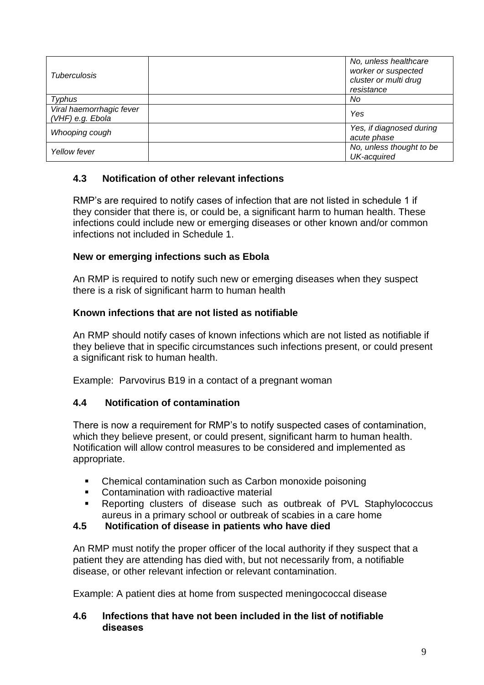| <b>Tuberculosis</b>                          | No, unless healthcare<br>worker or suspected<br>cluster or multi drug<br>resistance |
|----------------------------------------------|-------------------------------------------------------------------------------------|
| Typhus                                       | No                                                                                  |
| Viral haemorrhagic fever<br>(VHF) e.g. Ebola | Yes                                                                                 |
| Whooping cough                               | Yes, if diagnosed during<br>acute phase                                             |
| Yellow fever                                 | No, unless thought to be<br>UK-acquired                                             |

#### **4.3 Notification of other relevant infections**

RMP's are required to notify cases of infection that are not listed in schedule 1 if they consider that there is, or could be, a significant harm to human health. These infections could include new or emerging diseases or other known and/or common infections not included in Schedule 1.

#### **New or emerging infections such as Ebola**

An RMP is required to notify such new or emerging diseases when they suspect there is a risk of significant harm to human health

#### **Known infections that are not listed as notifiable**

An RMP should notify cases of known infections which are not listed as notifiable if they believe that in specific circumstances such infections present, or could present a significant risk to human health.

Example: Parvovirus B19 in a contact of a pregnant woman

#### **4.4 Notification of contamination**

There is now a requirement for RMP's to notify suspected cases of contamination, which they believe present, or could present, significant harm to human health. Notification will allow control measures to be considered and implemented as appropriate.

- Chemical contamination such as Carbon monoxide poisoning
- Contamination with radioactive material
- Reporting clusters of disease such as outbreak of PVL Staphylococcus aureus in a primary school or outbreak of scabies in a care home

#### **4.5 Notification of disease in patients who have died**

An RMP must notify the proper officer of the local authority if they suspect that a patient they are attending has died with, but not necessarily from, a notifiable disease, or other relevant infection or relevant contamination.

Example: A patient dies at home from suspected meningococcal disease

#### **4.6 Infections that have not been included in the list of notifiable diseases**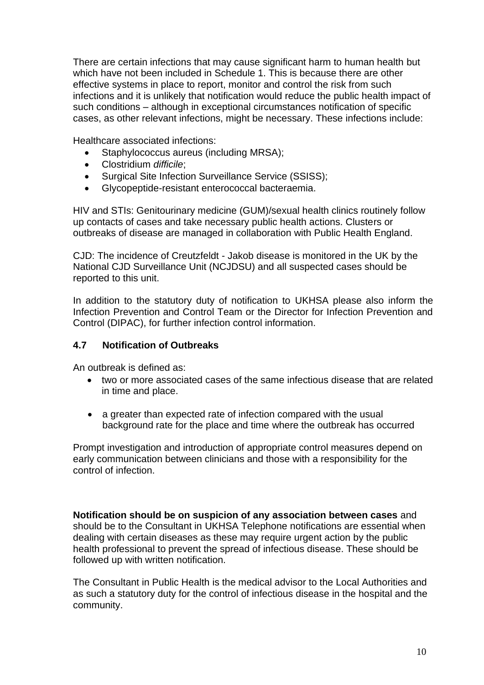There are certain infections that may cause significant harm to human health but which have not been included in Schedule 1. This is because there are other effective systems in place to report, monitor and control the risk from such infections and it is unlikely that notification would reduce the public health impact of such conditions – although in exceptional circumstances notification of specific cases, as other relevant infections, might be necessary. These infections include:

Healthcare associated infections:

- Staphylococcus aureus (including MRSA);
- Clostridium *difficile*;
- Surgical Site Infection Surveillance Service (SSISS);
- Glycopeptide-resistant enterococcal bacteraemia.

HIV and STIs: Genitourinary medicine (GUM)/sexual health clinics routinely follow up contacts of cases and take necessary public health actions. Clusters or outbreaks of disease are managed in collaboration with Public Health England.

CJD: The incidence of Creutzfeldt - Jakob disease is monitored in the UK by the National CJD Surveillance Unit (NCJDSU) and all suspected cases should be reported to this unit.

In addition to the statutory duty of notification to UKHSA please also inform the Infection Prevention and Control Team or the Director for Infection Prevention and Control (DIPAC), for further infection control information.

#### **4.7 Notification of Outbreaks**

An outbreak is defined as:

- two or more associated cases of the same infectious disease that are related in time and place.
- a greater than expected rate of infection compared with the usual background rate for the place and time where the outbreak has occurred

Prompt investigation and introduction of appropriate control measures depend on early communication between clinicians and those with a responsibility for the control of infection.

**Notification should be on suspicion of any association between cases** and should be to the Consultant in UKHSA Telephone notifications are essential when dealing with certain diseases as these may require urgent action by the public health professional to prevent the spread of infectious disease. These should be followed up with written notification.

The Consultant in Public Health is the medical advisor to the Local Authorities and as such a statutory duty for the control of infectious disease in the hospital and the community.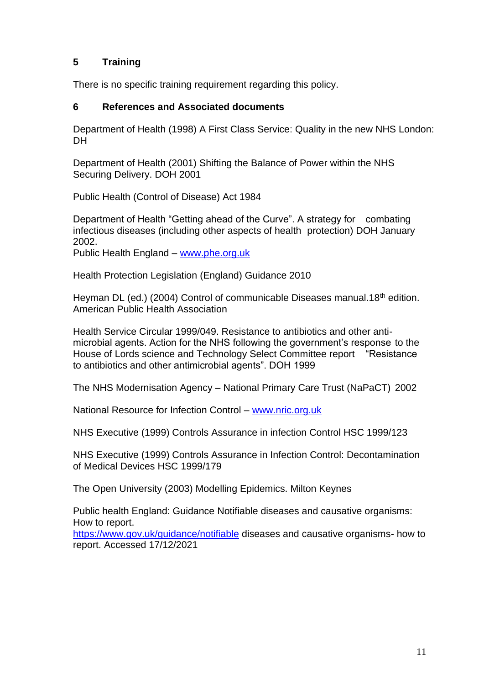#### **5 Training**

There is no specific training requirement regarding this policy.

#### **6 References and Associated documents**

Department of Health (1998) A First Class Service: Quality in the new NHS London: DH

Department of Health (2001) Shifting the Balance of Power within the NHS Securing Delivery. DOH 2001

Public Health (Control of Disease) Act 1984

Department of Health "Getting ahead of the Curve". A strategy for combating infectious diseases (including other aspects of health protection) DOH January 2002.

Public Health England – [www.phe.org.uk](http://www.phe.org.uk/)

Health Protection Legislation (England) Guidance 2010

Heyman DL (ed.) (2004) Control of communicable Diseases manual.18<sup>th</sup> edition. American Public Health Association

Health Service Circular 1999/049. Resistance to antibiotics and other antimicrobial agents. Action for the NHS following the government's response to the House of Lords science and Technology Select Committee report "Resistance to antibiotics and other antimicrobial agents". DOH 1999

The NHS Modernisation Agency – National Primary Care Trust (NaPaCT) 2002

National Resource for Infection Control – [www.nric.org.uk](http://www.nric.org.uk/)

NHS Executive (1999) Controls Assurance in infection Control HSC 1999/123

NHS Executive (1999) Controls Assurance in Infection Control: Decontamination of Medical Devices HSC 1999/179

The Open University (2003) Modelling Epidemics. Milton Keynes

Public health England: Guidance Notifiable diseases and causative organisms: How to report.

<https://www.gov.uk/guidance/notifiable> diseases and causative organisms- how to report. Accessed 17/12/2021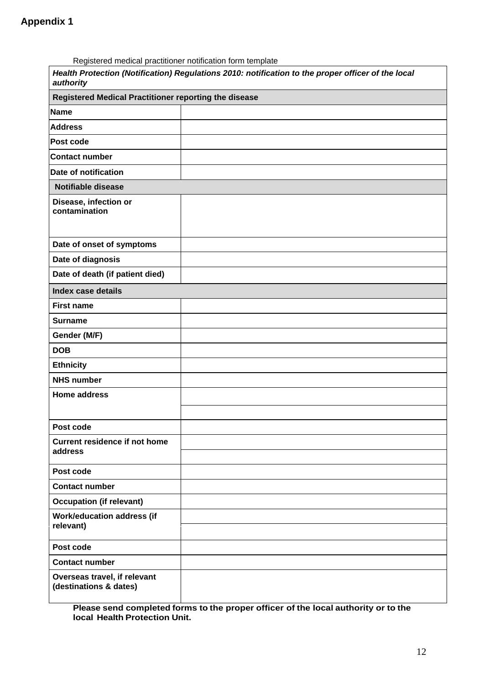| Registered medical practitioner notification form template |                                                                                                    |
|------------------------------------------------------------|----------------------------------------------------------------------------------------------------|
| authority                                                  | Health Protection (Notification) Regulations 2010: notification to the proper officer of the local |
| Registered Medical Practitioner reporting the disease      |                                                                                                    |
| <b>Name</b>                                                |                                                                                                    |
| <b>Address</b>                                             |                                                                                                    |
| Post code                                                  |                                                                                                    |
| <b>Contact number</b>                                      |                                                                                                    |
| Date of notification                                       |                                                                                                    |
| <b>Notifiable disease</b>                                  |                                                                                                    |
| Disease, infection or<br>contamination                     |                                                                                                    |
| Date of onset of symptoms                                  |                                                                                                    |
| Date of diagnosis                                          |                                                                                                    |
| Date of death (if patient died)                            |                                                                                                    |
| <b>Index case details</b>                                  |                                                                                                    |
| <b>First name</b>                                          |                                                                                                    |
| <b>Surname</b>                                             |                                                                                                    |
| Gender (M/F)                                               |                                                                                                    |
| <b>DOB</b>                                                 |                                                                                                    |
| <b>Ethnicity</b>                                           |                                                                                                    |
| <b>NHS number</b>                                          |                                                                                                    |
| <b>Home address</b>                                        |                                                                                                    |
| Post code                                                  |                                                                                                    |
| <b>Current residence if not home</b><br>address            |                                                                                                    |
| Post code                                                  |                                                                                                    |
| <b>Contact number</b>                                      |                                                                                                    |
| <b>Occupation (if relevant)</b>                            |                                                                                                    |
| <b>Work/education address (if</b><br>relevant)             |                                                                                                    |
| Post code                                                  |                                                                                                    |
| <b>Contact number</b>                                      |                                                                                                    |
| Overseas travel, if relevant<br>(destinations & dates)     |                                                                                                    |

**Please send completed forms to the proper officer of the local authority or to the local Health Protection Unit.**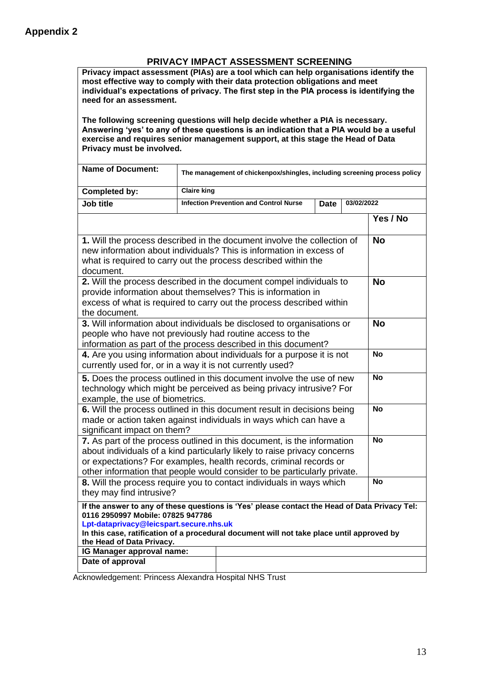#### **PRIVACY IMPACT ASSESSMENT SCREENING**

**Privacy impact assessment (PIAs) are a tool which can help organisations identify the most effective way to comply with their data protection obligations and meet individual's expectations of privacy. The first step in the PIA process is identifying the need for an assessment.**

**The following screening questions will help decide whether a PIA is necessary. Answering 'yes' to any of these questions is an indication that a PIA would be a useful exercise and requires senior management support, at this stage the Head of Data Privacy must be involved.**

| <b>Name of Document:</b>                                                                                                                                                                                                                                                                                |                                                                            |  |  |           |           | The management of chickenpox/shingles, including screening process policy |
|---------------------------------------------------------------------------------------------------------------------------------------------------------------------------------------------------------------------------------------------------------------------------------------------------------|----------------------------------------------------------------------------|--|--|-----------|-----------|---------------------------------------------------------------------------|
| Completed by:                                                                                                                                                                                                                                                                                           | <b>Claire king</b>                                                         |  |  |           |           |                                                                           |
| <b>Job title</b>                                                                                                                                                                                                                                                                                        | <b>Infection Prevention and Control Nurse</b><br>03/02/2022<br><b>Date</b> |  |  |           |           |                                                                           |
|                                                                                                                                                                                                                                                                                                         |                                                                            |  |  |           |           | Yes / No                                                                  |
| 1. Will the process described in the document involve the collection of<br>new information about individuals? This is information in excess of<br>what is required to carry out the process described within the<br>document.                                                                           |                                                                            |  |  |           | <b>No</b> |                                                                           |
| 2. Will the process described in the document compel individuals to<br>provide information about themselves? This is information in<br>excess of what is required to carry out the process described within<br>the document.                                                                            |                                                                            |  |  |           | <b>No</b> |                                                                           |
| 3. Will information about individuals be disclosed to organisations or<br>people who have not previously had routine access to the<br>information as part of the process described in this document?                                                                                                    |                                                                            |  |  |           |           | <b>No</b>                                                                 |
| 4. Are you using information about individuals for a purpose it is not<br>currently used for, or in a way it is not currently used?                                                                                                                                                                     |                                                                            |  |  |           |           | <b>No</b>                                                                 |
| 5. Does the process outlined in this document involve the use of new<br>technology which might be perceived as being privacy intrusive? For<br>example, the use of biometrics.                                                                                                                          |                                                                            |  |  |           |           | <b>No</b>                                                                 |
| 6. Will the process outlined in this document result in decisions being<br>made or action taken against individuals in ways which can have a<br>significant impact on them?                                                                                                                             |                                                                            |  |  |           |           | $\overline{N}$ o                                                          |
| 7. As part of the process outlined in this document, is the information<br>about individuals of a kind particularly likely to raise privacy concerns<br>or expectations? For examples, health records, criminal records or<br>other information that people would consider to be particularly private.  |                                                                            |  |  | <b>No</b> |           |                                                                           |
| 8. Will the process require you to contact individuals in ways which<br>they may find intrusive?                                                                                                                                                                                                        |                                                                            |  |  |           |           | <b>No</b>                                                                 |
| If the answer to any of these questions is 'Yes' please contact the Head of Data Privacy Tel:<br>0116 2950997 Mobile: 07825 947786<br>Lpt-dataprivacy@leicspart.secure.nhs.uk<br>In this case, ratification of a procedural document will not take place until approved by<br>the Head of Data Privacy. |                                                                            |  |  |           |           |                                                                           |
| IG Manager approval name:<br>Date of approval                                                                                                                                                                                                                                                           |                                                                            |  |  |           |           |                                                                           |
|                                                                                                                                                                                                                                                                                                         |                                                                            |  |  |           |           |                                                                           |

Acknowledgement: Princess Alexandra Hospital NHS Trust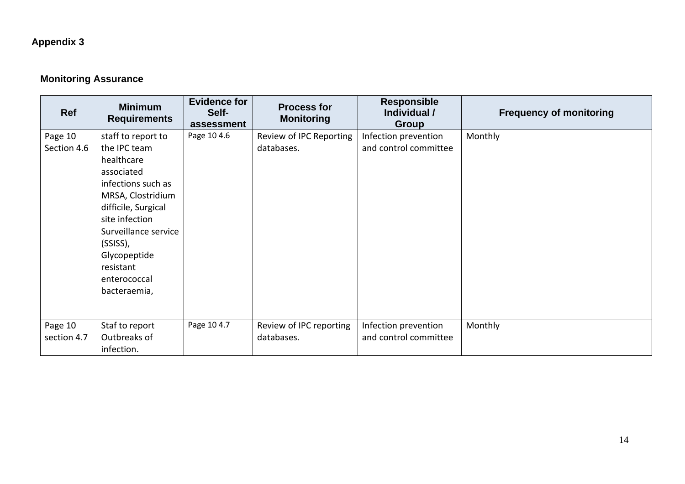## **Appendix 3**

## **Monitoring Assurance**

| Ref                    | <b>Minimum</b><br><b>Requirements</b>                                                                                                                                                  | <b>Evidence for</b><br>Self-<br>assessment | <b>Process for</b><br><b>Monitoring</b> | <b>Responsible</b><br>Individual /<br><b>Group</b> | <b>Frequency of monitoring</b> |
|------------------------|----------------------------------------------------------------------------------------------------------------------------------------------------------------------------------------|--------------------------------------------|-----------------------------------------|----------------------------------------------------|--------------------------------|
| Page 10<br>Section 4.6 | staff to report to<br>the IPC team<br>healthcare<br>associated<br>infections such as<br>MRSA, Clostridium<br>difficile, Surgical<br>site infection<br>Surveillance service<br>(SSISS), | Page 10 4.6                                | Review of IPC Reporting<br>databases.   | Infection prevention<br>and control committee      | Monthly                        |
|                        | Glycopeptide<br>resistant<br>enterococcal<br>bacteraemia,                                                                                                                              |                                            |                                         |                                                    |                                |
| Page 10<br>section 4.7 | Staf to report<br>Outbreaks of<br>infection.                                                                                                                                           | Page 10 4.7                                | Review of IPC reporting<br>databases.   | Infection prevention<br>and control committee      | Monthly                        |